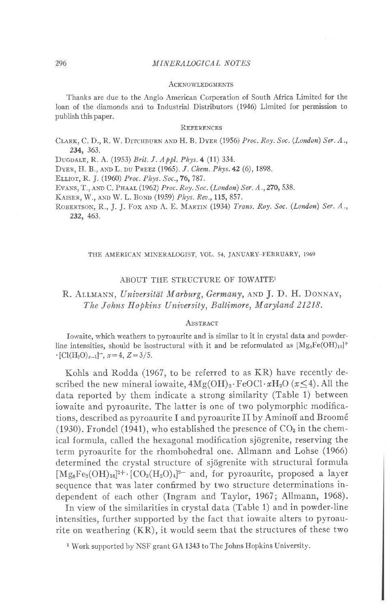## MINERALOGICAL NOTES

#### **ACKNOWLEDGMENTS**

Thanks are due to the Anglo American Corporation of South Africa Limited for the loan of the diamonds and to Industrial Distributors (1946) Limited for permission to publish this paper.

### REFERENCES

CLARK, C. D., R. W. DITCHBURN AND H. B. DYER (1956) Proc. Roy. Soc. (London) Ser. A., 234, 363.

DUGDALE, R. A. (1953) Brit. J. Appl. Phys. 4 (11) 334.

DYER, H. B., AND L. DU PREEZ (1965). J. Chem. Phys. 42 (6), 1898.

ELLIOT, R. J. (1960) Proc. Phys. Soc., 76, 787.

EVANS, T., AND C. PHAAL (1962) Proc. Roy. Soc. (London) Ser. A., 270, 538.

Kaiser, W., and W. L. Bond (1959) *Phys. Rev.*, 11**5,** 857.

ROBERTSON, R., J. J. FOX AND A. E. MARTIN (1934) Trans. Roy. Soc. (London) Ser. A., 232, 463.

## THE AMERICAN MINERALOGIST, VOL. 54, JANUARY-FEBRUARY, 1969

## ABOUT THE STRUCTURE OF IOWAITE1

## R. ALLMANN, Universität Marburg, Germany, AND J. D. H. DONNAY, The Johns Hopkins University, Baltimore, Maryland 21218.

### **ABSTRACT**

Iowaite, which weathers to pyroaurite and is similar to it in crystal data and powderline intensities, should be isostructural with it and be reformulated as  $[Mg_4Fe(OH)_{10}]^+$  $\cdot$  [Cl(H<sub>2</sub>O)<sub>x-1</sub>]<sup>-</sup>, x=4, Z=3/5.

Kohls and Rodda (1967, to be referred to as KR) have recently described the new mineral iowaite,  $4Mg(OH)_2 \cdot FeOCl \cdot xH_2O \ (x \leq 4)$ . All the data reported by them indicate a strong similarity (Table 1) between iowaite and pyroaurite. The latter is one of two polymorphic modifications, described as pyroaurite I and pyroaurite II by Aminoff and Broom6 (1930). Frondel (1941), who established the presence of  $CO<sub>3</sub>$  in the chemical formula, called the hexagonal modification sjögrenite, reserving the term pyroaurite for the rhombohedral one. Allmann and Lohse (1966) determined the crystal structure of sjögrenite with structural formula  $[Mg_6Fe_2(OH)_{16}]^{2+}$  [CO<sub>3</sub>(H<sub>2</sub>O)<sub>4</sub>]<sup>2-</sup> and, for pyroaurite, proposed a layer sequence that was later confirmed by two structure determinations independent of each other (Ingram and Taylor, 1967; Allmann, 1968).

In view of the similarities in crystal data (Table 1) and in powder-line intensities, further supported by the fact that iowaite alters to pyroaurite on weathering (KR), it would seem that the structures of these two

<sup>1</sup> Work supported by NSF grant GA 1343 to The Johns Hopkins University.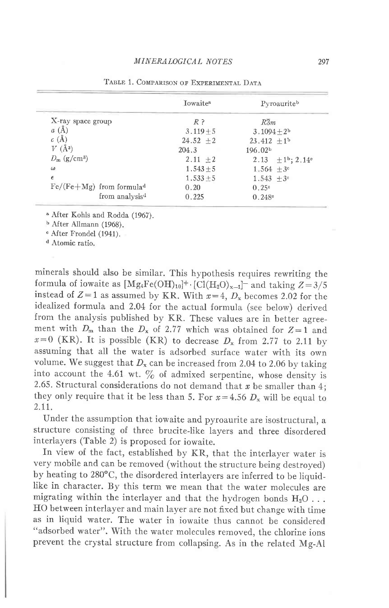|                                        | <b>I</b> owaite <sup>8</sup> | Pyroauriteb                        |
|----------------------------------------|------------------------------|------------------------------------|
| X-ray space group                      | $R$ ?                        | $R\overline{3}m$                   |
| a(A)                                   | $3.119 + 5$                  | $3.1094 + 2^{b}$                   |
| c(A)                                   | $24.52 \pm 2$                | 23.412 $\pm 1^b$                   |
| $V(\AA^3)$                             | 204.3                        | 196.02 <sup>b</sup>                |
| $D_{\rm m}$ (g/cm <sup>3</sup> )       | $2.11 + 2$                   | 2.13 $\pm 1^b$ ; 2.14 <sup>o</sup> |
| $\omega$                               | $1.543 \pm 5$                | $1.564 + 3^{\circ}$                |
| $\epsilon$                             | $1.533 + 5$                  | $1.543 + 3^c$                      |
| $Fe/(Fe+Mg)$ from formula <sup>d</sup> | 0.20                         | 0.25c                              |
| from analysis <sup>d</sup>             | 0.225                        | 0.248°                             |

TABLE 1. COMPARISON OF EXPERIMENTAL DATA

<sup>a</sup> After Kohls and Rodda (1967).

b After Allmann (1968).

<sup>e</sup> After Frondel (1941).

d Atomic ratio.

minerals should also be similar. This hypothesis requires rewriting the formula of iowaite as  $[Mg_4Fe(OH)_{10}]^+$ .  $[Cl(H_2O)_{x-1}]^-$  and taking  $Z=3/5$ instead of  $Z=1$  as assumed by KR. With  $x=4$ ,  $D_x$  becomes 2.02 for the idealized formula and 2.04 for the actual formula (see below) derived from the analysis published by KR. These values are in better agreement with  $D_m$  than the  $D_x$  of 2.77 which was obtained for  $Z=1$  and.  $x=0$  (KR). It is possible (KR) to decrease  $D_x$  from 2.77 to 2.11 by assuming that all the water is adsorbed surface water with its own volume. We suggest that  $D_x$  can be increased from 2.04 to 2.06 by taking into account the 4.61 wt.  $\%$  of admixed serpentine, whose density is 2.65. Structural considerations do not demand that  $x$  be smaller than 4; they only require that it be less than 5. For  $x=4.56$  D<sub>x</sub> will be equal to 2.tt.

Under the assumption that iowaite and pyroaurite are isostructural, a structure consisting of three brucite-like layers and three disordered interlayers (Table 2) is proposed for iowaite.

In view of the fact, established by KR, that the interlayer water is very mobile and can be removed (without the structure being destroyed) by heating to 280°C, the disordered interlayers are inferred to be liquidlike in character. By this term we mean that the water molecules are migrating within the interlayer and that the hydrogen bonds  $H_2O$ ... HO between interlayer and main layer are not fixed but change with time as in liquid water. The water in iowaite thus cannot be considered "adsorbed water". With the water molecules removed, the chlorine ions prevent the crystal structure from collapsing. As in the related Mg-Al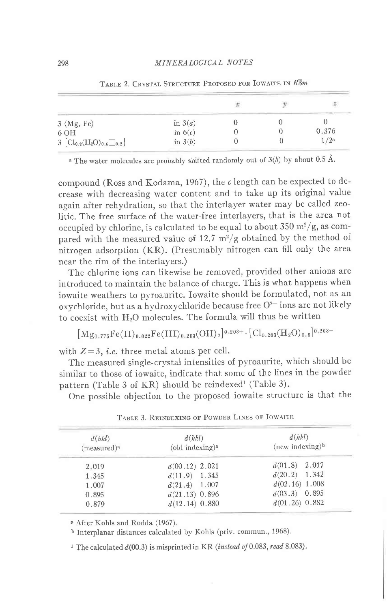|                                                                                |           |  | s               |  |
|--------------------------------------------------------------------------------|-----------|--|-----------------|--|
| $3 \ (Mg, Fe)$                                                                 | in $3(a)$ |  |                 |  |
| 6 OH                                                                           | in $6(c)$ |  | 0.376           |  |
| $3\,\left[\mathrm{Cl}_{0,2}(\mathrm{H}_2\mathrm{O})_{0,6}\square_{0,2}\right]$ | in $3(b)$ |  | /2 <sup>a</sup> |  |
|                                                                                |           |  |                 |  |

TABLE 2. CRYSTAL STRUCTURE PROPOSED FOR IOWAITE IN  $R\overline{3}m$ 

<sup>a</sup> The water molecules are probably shifted randomly out of  $3(b)$  by about 0.5 Å.

compound (Ross and Kodama, 1967), the c length can be expected to decrease with decreasing water content and to take up its original value again after rehydration, so that the interlayer water may be called zeolitic. The free surface of the water-free interlayers, that is the area not occupied by chlorine, is calculated to be equal to about 350  $\mathrm{m}^2/\mathrm{g}$ , as compared with the measured value of 12.7  $m^2/g$  obtained by the method of nitrogen adsorption (KR). (Presumably nitrogen can fill only the area near the rim of the interlayers.)

The chlorine ions can likewise be removed, provided other anions are introduced to maintain the balance of charge. This is what happens when iowaite weathers to pyroaurite. Iowaite should be formulated, not as an oxychloride, but as a hydroxychloride because free O<sup>2-</sup> ions are not likely to coexist with H<sub>2</sub>O molecules. The formula will thus be written

$$
\big[\mathrm{Mg_{0.775}Fe(II)_{0.022}Fe(III)_{0.203}(OH)_2\big]^{0.203+}\cdot\big[\mathrm{Cl}_{0.203}(H_2O)_{0.6}\big]^{0.203-}
$$

with  $Z = 3$ , *i.e.* three metal atoms per cell.

The measured single-crystal intensities of pyroaurite, which should be similar to those of iowaite, indicate that some of the lines in the powder pattern (Table 3 of KR) should be reindexed<sup>1</sup> (Table 3).

One possible objection to the proposed iowaite structure is that the

| d(hkl)<br>(measured) <sup>a</sup> | d(hkl)<br>$\text{odd}$ indexing) <sup>a</sup> | d(hkl)<br>$(new indexing)^b$ |
|-----------------------------------|-----------------------------------------------|------------------------------|
| 2.019                             | $d(00.12)$ 2.021                              | $d(01.8)$ 2.017              |
| 1.345                             | $d(11.9)$ 1.345                               | $d(20.2)$ 1.342              |
| 1.007                             | $d(21.4)$ 1.007                               | $d(02.16)$ 1.008             |
| 0.895                             | $d(21.13)$ 0.896                              | $d(03.3)$ 0.895              |
| 0.879                             | $d(12.14)$ 0.880                              | $d(01.26)$ 0.882             |

| TABLE 3. REINDEXING OF POWDER LINES OF IOWAITE |  |
|------------------------------------------------|--|
|------------------------------------------------|--|

<sup>a</sup> After Kohls and Rodda (1967).

b Interplanar distances calculated by Kohls (priv. commun., 1968).

<sup>1</sup> The calculated  $d(00.3)$  is misprinted in KR (instead of 0.083, read 8.083).